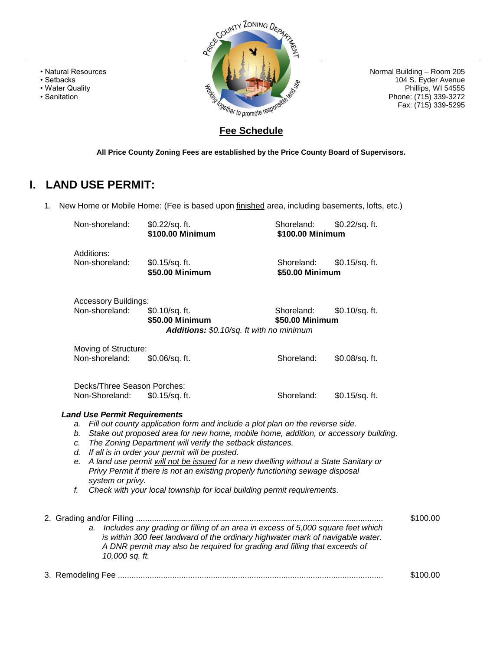- Natural Resources
- Setbacks
- Water Quality
- Sanitation



Normal Building – Room 205 104 S. Eyder Avenue Phillips, WI 54555 Phone: (715) 339-3272 Fax: (715) 339-5295

## **Fee Schedule**

**All Price County Zoning Fees are established by the Price County Board of Supervisors.** 

# **I. LAND USE PERMIT:**

1. New Home or Mobile Home: (Fee is based upon finished area, including basements, lofts, etc.)

| Non-shoreland:                                                                       | \$0.22/sq. ft.<br>\$100.00 Minimum                                                                                                                                                                                                                                                                                                                                                                                                                                                                                                   | Shoreland:<br>\$100.00 Minimum | \$0.22/sq. ft. |          |
|--------------------------------------------------------------------------------------|--------------------------------------------------------------------------------------------------------------------------------------------------------------------------------------------------------------------------------------------------------------------------------------------------------------------------------------------------------------------------------------------------------------------------------------------------------------------------------------------------------------------------------------|--------------------------------|----------------|----------|
| Additions:<br>Non-shoreland:                                                         | \$0.15/sq. ft.<br>\$50.00 Minimum                                                                                                                                                                                                                                                                                                                                                                                                                                                                                                    | Shoreland:<br>\$50.00 Minimum  | \$0.15/sq. ft. |          |
| <b>Accessory Buildings:</b><br>Non-shoreland:                                        | \$0.10/sq. ft.<br>\$50.00 Minimum<br>Additions: \$0.10/sq. ft with no minimum                                                                                                                                                                                                                                                                                                                                                                                                                                                        | Shoreland:<br>\$50.00 Minimum  | \$0.10/sq. ft. |          |
| Moving of Structure:<br>Non-shoreland:                                               | \$0.06/sq. ft.                                                                                                                                                                                                                                                                                                                                                                                                                                                                                                                       | Shoreland:                     | \$0.08/sq. ft. |          |
| Decks/Three Season Porches:<br>Non-Shoreland:<br><b>Land Use Permit Requirements</b> | \$0.15/sq. ft.                                                                                                                                                                                                                                                                                                                                                                                                                                                                                                                       | Shoreland:                     | \$0.15/sq. ft. |          |
| a.<br>b.<br>c.<br>d.<br>е.<br>system or privy.<br>f.                                 | Fill out county application form and include a plot plan on the reverse side.<br>Stake out proposed area for new home, mobile home, addition, or accessory building.<br>The Zoning Department will verify the setback distances.<br>If all is in order your permit will be posted.<br>A land use permit will not be issued for a new dwelling without a State Sanitary or<br>Privy Permit if there is not an existing properly functioning sewage disposal<br>Check with your local township for local building permit requirements. |                                |                |          |
| 10,000 sq. ft.                                                                       | a. Includes any grading or filling of an area in excess of 5,000 square feet which<br>is within 300 feet landward of the ordinary highwater mark of navigable water.<br>A DNR permit may also be required for grading and filling that exceeds of                                                                                                                                                                                                                                                                                    |                                |                | \$100.00 |
|                                                                                      |                                                                                                                                                                                                                                                                                                                                                                                                                                                                                                                                      |                                |                | \$100.00 |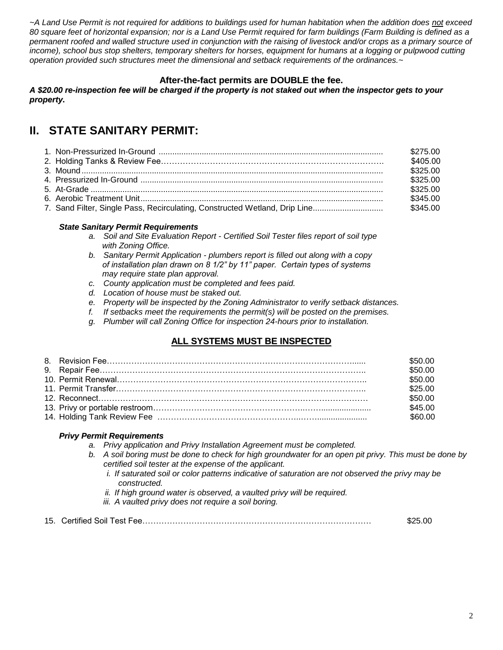*~A Land Use Permit is not required for additions to buildings used for human habitation when the addition does not exceed 80 square feet of horizontal expansion; nor is a Land Use Permit required for farm buildings (Farm Building is defined as a permanent roofed and walled structure used in conjunction with the raising of livestock and/or crops as a primary source of income), school bus stop shelters, temporary shelters for horses, equipment for humans at a logging or pulpwood cutting operation provided such structures meet the dimensional and setback requirements of the ordinances.~*

#### **After-the-fact permits are DOUBLE the fee.**

A \$20.00 re-inspection fee will be charged if the property is not staked out when the inspector gets to your *property.*

# **II. STATE SANITARY PERMIT:**

|  | \$275.00 |
|--|----------|
|  | \$405.00 |
|  | \$325.00 |
|  | \$325.00 |
|  | \$325.00 |
|  | \$345.00 |
|  |          |

#### *State Sanitary Permit Requirements*

- *a. Soil and Site Evaluation Report - Certified Soil Tester files report of soil type with Zoning Office.*
- *b. Sanitary Permit Application - plumbers report is filled out along with a copy of installation plan drawn on 8 1/2" by 11" paper. Certain types of systems may require state plan approval.*
- *c. County application must be completed and fees paid.*
- *d. Location of house must be staked out.*
- *e. Property will be inspected by the Zoning Administrator to verify setback distances.*
- *f. If setbacks meet the requirements the permit(s) will be posted on the premises.*
- *g. Plumber will call Zoning Office for inspection 24-hours prior to installation.*

## **ALL SYSTEMS MUST BE INSPECTED**

|  | \$50.00       |
|--|---------------|
|  | \$50.00       |
|  | \$50.00       |
|  | \$25.00       |
|  | \$50.00       |
|  | \$45.00       |
|  | <b>960.00</b> |

#### *Privy Permit Requirements*

- *a. Privy application and Privy Installation Agreement must be completed.*
- *b. A soil boring must be done to check for high groundwater for an open pit privy. This must be done by certified soil tester at the expense of the applicant.*
	- *i. If saturated soil or color patterns indicative of saturation are not observed the privy may be constructed.*
	- *ii. If high ground water is observed, a vaulted privy will be required.*
	- *iii. A vaulted privy does not require a soil boring.*
- 15. Certified Soil Test Fee………………………………………………………………………… \$25.00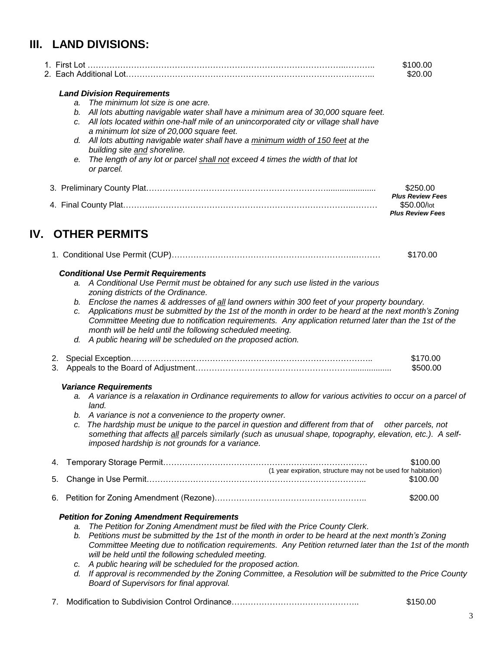# **III. LAND DIVISIONS:**

|     |    |                                                                                                                                                                                                                | \$100.00<br>\$20.00                    |  |  |  |
|-----|----|----------------------------------------------------------------------------------------------------------------------------------------------------------------------------------------------------------------|----------------------------------------|--|--|--|
|     |    | <b>Land Division Requirements</b>                                                                                                                                                                              |                                        |  |  |  |
|     |    | The minimum lot size is one acre.<br>a.                                                                                                                                                                        |                                        |  |  |  |
|     |    | All lots abutting navigable water shall have a minimum area of 30,000 square feet.<br>b.                                                                                                                       |                                        |  |  |  |
|     |    | c. All lots located within one-half mile of an unincorporated city or village shall have                                                                                                                       |                                        |  |  |  |
|     |    | a minimum lot size of 20,000 square feet.                                                                                                                                                                      |                                        |  |  |  |
|     |    | d. All lots abutting navigable water shall have a minimum width of 150 feet at the                                                                                                                             |                                        |  |  |  |
|     |    | building site and shoreline.                                                                                                                                                                                   |                                        |  |  |  |
|     |    | The length of any lot or parcel shall not exceed 4 times the width of that lot<br>е.<br>or parcel.                                                                                                             |                                        |  |  |  |
|     |    |                                                                                                                                                                                                                | \$250.00                               |  |  |  |
|     |    |                                                                                                                                                                                                                | <b>Plus Review Fees</b>                |  |  |  |
|     |    |                                                                                                                                                                                                                | \$50.00/lot<br><b>Plus Review Fees</b> |  |  |  |
|     |    |                                                                                                                                                                                                                |                                        |  |  |  |
| IV. |    | <b>OTHER PERMITS</b>                                                                                                                                                                                           |                                        |  |  |  |
|     |    |                                                                                                                                                                                                                | \$170.00                               |  |  |  |
|     |    |                                                                                                                                                                                                                |                                        |  |  |  |
|     |    | <b>Conditional Use Permit Requirements</b>                                                                                                                                                                     |                                        |  |  |  |
|     |    | a. A Conditional Use Permit must be obtained for any such use listed in the various                                                                                                                            |                                        |  |  |  |
|     |    | zoning districts of the Ordinance.                                                                                                                                                                             |                                        |  |  |  |
|     |    | b. Enclose the names & addresses of all land owners within 300 feet of your property boundary.<br>Applications must be submitted by the 1st of the month in order to be heard at the next month's Zoning<br>c. |                                        |  |  |  |
|     |    | Committee Meeting due to notification requirements. Any application returned later than the 1st of the                                                                                                         |                                        |  |  |  |
|     |    | month will be held until the following scheduled meeting.                                                                                                                                                      |                                        |  |  |  |
|     |    | d. A public hearing will be scheduled on the proposed action.                                                                                                                                                  |                                        |  |  |  |
|     | 2. |                                                                                                                                                                                                                | \$170.00                               |  |  |  |
|     | 3. |                                                                                                                                                                                                                | \$500.00                               |  |  |  |
|     |    | <b>Variance Requirements</b>                                                                                                                                                                                   |                                        |  |  |  |
|     |    | a. A variance is a relaxation in Ordinance requirements to allow for various activities to occur on a parcel of<br>land.                                                                                       |                                        |  |  |  |
|     |    | b. A variance is not a convenience to the property owner.                                                                                                                                                      |                                        |  |  |  |
|     |    | c. The hardship must be unique to the parcel in question and different from that of other parcels, not                                                                                                         |                                        |  |  |  |
|     |    | something that affects all parcels similarly (such as unusual shape, topography, elevation, etc.). A self-<br>imposed hardship is not grounds for a variance.                                                  |                                        |  |  |  |
|     | 4. |                                                                                                                                                                                                                | \$100.00                               |  |  |  |
|     |    | (1 year expiration, structure may not be used for habitation)                                                                                                                                                  |                                        |  |  |  |
|     | 5. |                                                                                                                                                                                                                | \$100.00                               |  |  |  |
|     | 6. |                                                                                                                                                                                                                | \$200.00                               |  |  |  |
|     |    | <b>Petition for Zoning Amendment Requirements</b>                                                                                                                                                              |                                        |  |  |  |
|     |    | The Petition for Zoning Amendment must be filed with the Price County Clerk.<br>a.                                                                                                                             |                                        |  |  |  |
|     |    | Petitions must be submitted by the 1st of the month in order to be heard at the next month's Zoning<br>b.                                                                                                      |                                        |  |  |  |
|     |    | Committee Meeting due to notification requirements. Any Petition returned later than the 1st of the month                                                                                                      |                                        |  |  |  |
|     |    | will be held until the following scheduled meeting.                                                                                                                                                            |                                        |  |  |  |
|     |    | A public hearing will be scheduled for the proposed action.<br>C.                                                                                                                                              |                                        |  |  |  |
|     |    | If approval is recommended by the Zoning Committee, a Resolution will be submitted to the Price County<br>d.                                                                                                   |                                        |  |  |  |
|     |    | Board of Supervisors for final approval.                                                                                                                                                                       |                                        |  |  |  |
|     | 7. |                                                                                                                                                                                                                | \$150.00                               |  |  |  |
|     |    |                                                                                                                                                                                                                |                                        |  |  |  |